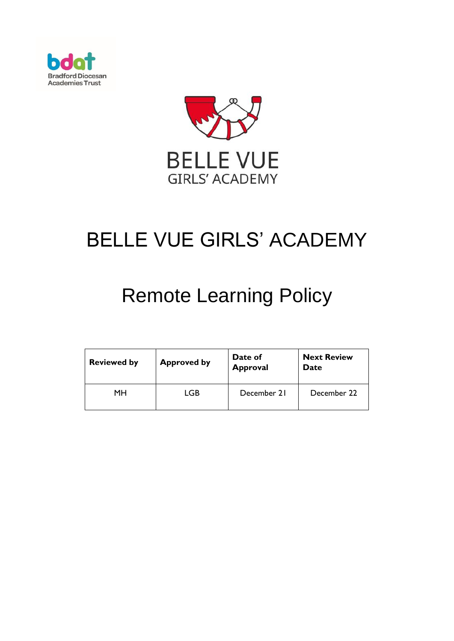



# BELLE VUE GIRLS' ACADEMY

## Remote Learning Policy

| <b>Reviewed by</b> | <b>Approved by</b> | Date of<br><b>Approval</b> | <b>Next Review</b><br><b>Date</b> |
|--------------------|--------------------|----------------------------|-----------------------------------|
| MН                 | LGB                | December 21                | December 22                       |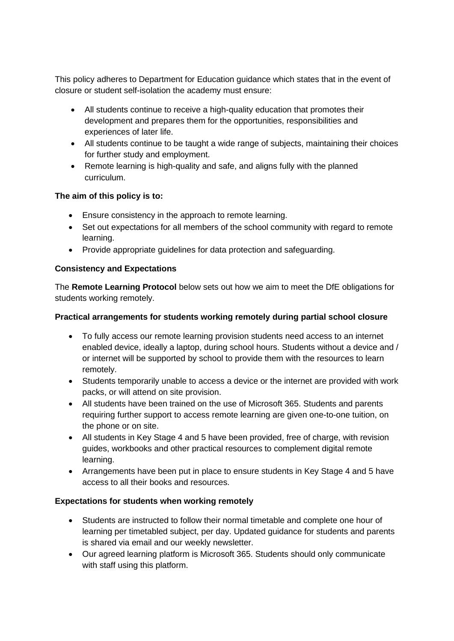This policy adheres to Department for Education guidance which states that in the event of closure or student self-isolation the academy must ensure:

- All students continue to receive a high-quality education that promotes their development and prepares them for the opportunities, responsibilities and experiences of later life.
- All students continue to be taught a wide range of subjects, maintaining their choices for further study and employment.
- Remote learning is high-quality and safe, and aligns fully with the planned curriculum.

#### **The aim of this policy is to:**

- Ensure consistency in the approach to remote learning.
- Set out expectations for all members of the school community with regard to remote learning.
- Provide appropriate guidelines for data protection and safeguarding.

#### **Consistency and Expectations**

The **Remote Learning Protocol** below sets out how we aim to meet the DfE obligations for students working remotely.

#### **Practical arrangements for students working remotely during partial school closure**

- To fully access our remote learning provision students need access to an internet enabled device, ideally a laptop, during school hours. Students without a device and / or internet will be supported by school to provide them with the resources to learn remotely.
- Students temporarily unable to access a device or the internet are provided with work packs, or will attend on site provision.
- All students have been trained on the use of Microsoft 365. Students and parents requiring further support to access remote learning are given one-to-one tuition, on the phone or on site.
- All students in Key Stage 4 and 5 have been provided, free of charge, with revision guides, workbooks and other practical resources to complement digital remote learning.
- Arrangements have been put in place to ensure students in Key Stage 4 and 5 have access to all their books and resources.

#### **Expectations for students when working remotely**

- Students are instructed to follow their normal timetable and complete one hour of learning per timetabled subject, per day. Updated guidance for students and parents is shared via email and our weekly newsletter.
- Our agreed learning platform is Microsoft 365. Students should only communicate with staff using this platform.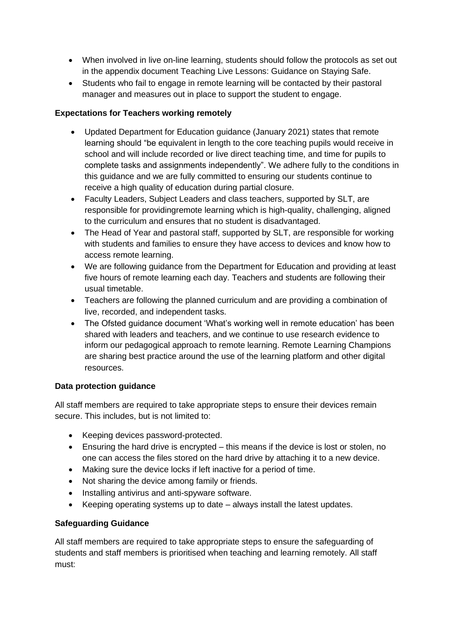- When involved in live on-line learning, students should follow the protocols as set out in the appendix document Teaching Live Lessons: Guidance on Staying Safe.
- Students who fail to engage in remote learning will be contacted by their pastoral manager and measures out in place to support the student to engage.

#### **Expectations for Teachers working remotely**

- Updated Department for Education guidance (January 2021) states that remote learning should "be equivalent in length to the core teaching pupils would receive in school and will include recorded or live direct teaching time, and time for pupils to complete tasks and assignments independently". We adhere fully to the conditions in this guidance and we are fully committed to ensuring our students continue to receive a high quality of education during partial closure.
- Faculty Leaders, Subject Leaders and class teachers, supported by SLT, are responsible for providingremote learning which is high-quality, challenging, aligned to the curriculum and ensures that no student is disadvantaged.
- The Head of Year and pastoral staff, supported by SLT, are responsible for working with students and families to ensure they have access to devices and know how to access remote learning.
- We are following guidance from the Department for Education and providing at least five hours of remote learning each day. Teachers and students are following their usual timetable.
- Teachers are following the planned curriculum and are providing a combination of live, recorded, and independent tasks.
- The Ofsted guidance document 'What's working well in remote education' has been shared with leaders and teachers, and we continue to use research evidence to inform our pedagogical approach to remote learning. Remote Learning Champions are sharing best practice around the use of the learning platform and other digital resources.

#### **Data protection guidance**

All staff members are required to take appropriate steps to ensure their devices remain secure. This includes, but is not limited to:

- Keeping devices password-protected.
- Ensuring the hard drive is encrypted this means if the device is lost or stolen, no one can access the files stored on the hard drive by attaching it to a new device.
- Making sure the device locks if left inactive for a period of time.
- Not sharing the device among family or friends.
- Installing antivirus and anti-spyware software.
- Keeping operating systems up to date always install the latest updates.

### **Safeguarding Guidance**

All staff members are required to take appropriate steps to ensure the safeguarding of students and staff members is prioritised when teaching and learning remotely. All staff must: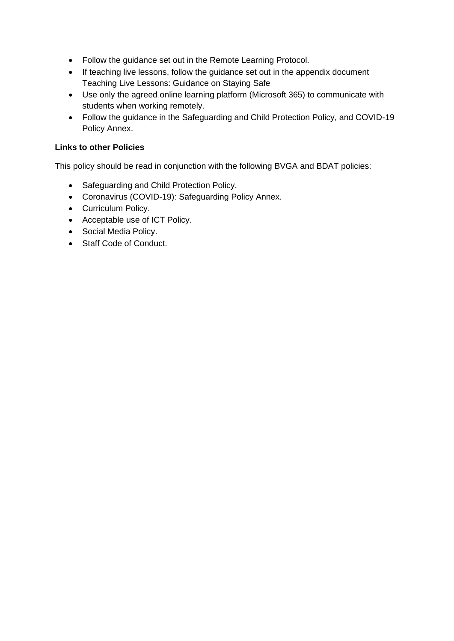- Follow the guidance set out in the Remote Learning Protocol.
- If teaching live lessons, follow the guidance set out in the appendix document Teaching Live Lessons: Guidance on Staying Safe
- Use only the agreed online learning platform (Microsoft 365) to communicate with students when working remotely.
- Follow the guidance in the Safeguarding and Child Protection Policy, and COVID-19 Policy Annex.

#### **Links to other Policies**

This policy should be read in conjunction with the following BVGA and BDAT policies:

- Safeguarding and Child Protection Policy.
- Coronavirus (COVID-19): Safeguarding Policy Annex.
- Curriculum Policy.
- Acceptable use of ICT Policy.
- Social Media Policy.
- Staff Code of Conduct.